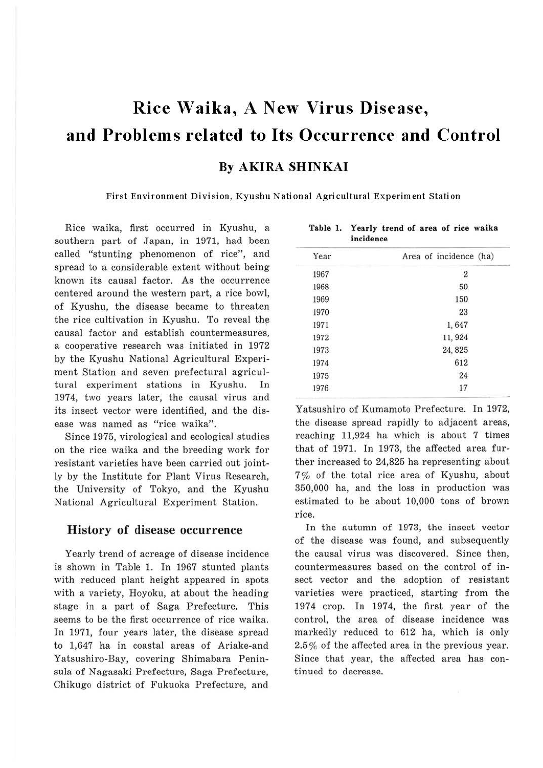# **Rice W aika, A New Virus Disease, and Problems related to Its Occurrence and Control**

#### **By AKIRA SHINKAI**

**First Environment Division, Kyushu National Agricultural Experiment Station** 

Rice waika, first occurred in Kyushu, a southern part of Japan, in 1971, had been called "stunting phenomenon of rice", and spread to a considerable extent without being known its causal factor. As the occurrence centered around the western part, a rice bowl, of Kyushu, the disease became to threaten the rice cultivation in Kyushu. To reveal the causal factor and establish countermeasures, a cooperative research was initiated in 1972 by the Kyushu National Agricultural Experiment Station and seven prefectural agricultural experiment stations in Kyushu. In 1974, two years later, the causal virus and its insect vector were identified, and the disease was named as "rice waika".

Since 1975, virological and ecological studies on the rice waika and the breeding work for resistant varieties have been carried out jointly by the Institute for Plant Virus Research, the University of Tokyo, and the Kyushu National Agricultural Experiment Station.

#### History of disease occurrence

Yearly trend of acreage of disease incidence is shown in Table 1. In 1967 stunted plants with reduced plant height appeared in spots with a variety, Hoyoku, at about the heading stage in a part of Saga Prefecture. This seems to be the first occurrence of rice waika. In 1971, four years later, the disease spread to 1,647 ha in coastal areas of Ariake-and Yatsushiro-Bay, covering Shimabara Peninsula of Nagasaki Prefecture, Saga Prefecture, Chikugo district of Fukuoka Prefecture, and

| menence |                        |
|---------|------------------------|
| Year    | Area of incidence (ha) |
| 1967    | $\boldsymbol{2}$       |
| 1968    | 50                     |
| 1969    | 150                    |
| 1970    | 23                     |
| 1971    | 1,647                  |
| 1972    | 11, 924                |
| 1973    | 24, 825                |
| 1974    | 612                    |
| 1975    | 24                     |
| 1976    | 17                     |
|         |                        |

**Table** I. **Yearly trend of area of rice waika incidence** 

Yatsushiro of Kumamoto Prefecture. In 1972, the disease spread rapidly to adjacent areas, reaching 11,924 ha which is about 7 times that of 1971. In 1973, the affected area further increased to 24,825 ha representing about 7% of the total rice area of Kyushu, about 350,000 ha, and the Joss in production was estimated to be about 10,000 tons of brown rice.

In the autumn of 1973, the insect vector of the disease was found, and subsequently the causal virus was discovered. Since then, countermeasures based on the control of insect vector and the adoption of resistant varieties were practiced, starting from the 1974 crop. In 1974, the first year of the control, the area of disease incidence was markedly reduced to 612 ha, which is only 2.5% of the affected area in the previous year. Since that year, the affected area has continued to decrease.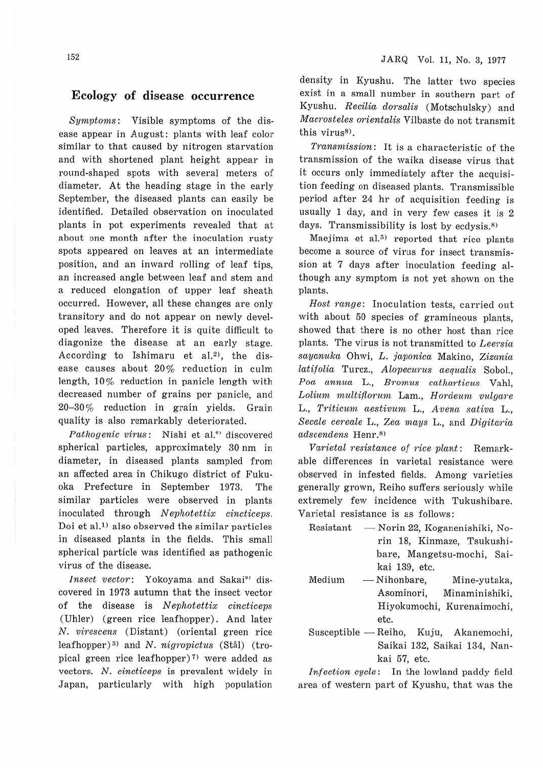#### **Ecology of disease occurrence**

*Symptoms:* Visible symptoms of the disease appear in August: plants with leaf color similar to that caused by nitrogen starvation and with shortened plant height appear in round-shaped spots with several meters of diameter. At the heading stage in the early September, the diseased plants can easily be identified. Detailed observation on inoculated plants in pot experiments revealed that at about one month after the inoculation rusty spots appeared on leaves at an intermediate position, and an inward rolling of leaf tips, an increased angle between leaf and stem and a reduced elongation of upper leaf sheath occurred. However, all these changes are only transitory and do not appear on newly developed leaves. Therefore it is quite difficult to diagonize the disease at an early stage. According to Ishimaru et al.<sup>2</sup>), the disease causes about 20% reduction in culm length, 10% reduction in panicle length with decreased number of grains per panicle, and 20-30% reduction in grain yields. Grain quality is also remarkably deteriorated.

*Pathogenic virus* : Nishi et al.<sup>6)</sup> discovered spherical particles, approximately 30 nm in diameter, in diseased plants sampled from an affected area in Chikugo district of Fukuoka Prefecture in September 1973. The similar particles were observed in plants inoculated through *Nephotettix cincticeps*. Doi et al.<sup>1)</sup> also observed the similar particles in diseased plants in the fields. This small spherical particle was identified as pathogenic virus of the disease.

*Insect vector:* Yokoyama and Sakai<sup>9</sup> discovered in 1973 autumn that the insect vector of the disease is *Nephotettix cincticeps* (Uhler) (green rice leafhopper). And later *N. virescens* (Distant) (oriental green rice leafhopper)<sup>3)</sup> and *N. nigropictus* (Stål) (tropical green rice leafhopper)<sup>7)</sup> were added as vectors. *N. cincticeps* is prevalent widely in Japan, particularly with high population density in Kyushu. The latter two species exist in a small number in southern part of Kyushu. *Recilia dorsalis* (Motschulsky) and *Macrosteles orientalis* Vilbaste do not transmit this virus<sup>8)</sup>.

*Transmission:* It is a characteristic of the transmission of the waika disease virus that it occurs only immediately after the acquisition feeding on diseased plants. Transmissible period after 24 hr of acquisition feeding is usually 1 day, and in very few cases it is 2 days. Transmissibility is lost by  $ecdysis$ .<sup>8)</sup>

Maejima et al. $5$ ) reported that rice plants become a source of virus for insect transmission at 7 days after inoculation feeding although any symptom is not yet shown on the plants.

Host range: Inoculation tests, carried out with about 50 species of gramineous plants, showed that there is no other host than rice plants. The virus is not transmitted to *Leersia sayanuka* Ohwi, *L. japonica* Makino, *Zizcinia latif olia* Turcz., *Alovecurus aequalis* Sobol., *Poa annua* L., *Bromus cntluirticus* Vahl,  $L$ olium multiflorum Lam., *Hordeum vulgare* L., *Triticum aestivum* L., *Avena sativa* L., *Secale cereale* L., *Zea mays* L., and *Digitaria*   $adscendens$  Henr.<sup>8)</sup>

*Varietal 1·esistance of 1-ice plant:* Remarkable differences in varietal resistance were observed in infested fields. Among varieties generally grown, Reiho suffers seriously while extremely few incidence with Tukushibare. Varietal resistance is as follows:

- Resistant Norin 22, Koganenishiki, Norin 18, Kinmaze, Tsukushibare, Mangetsu-mochi, Saikai 139, etc.
- Medium - Nihonbare, Mine-yutaka, Asominori, Minaminishiki, Hiyokumochi, Kurenaimochi, etc.
- Susceptible Reiho, Kuju, Akanemochi, Saikai 132, Saikai 134, Nankai 57, etc.

*Infection cycle:* In the lowland paddy field area of western part of Kyushu, that was the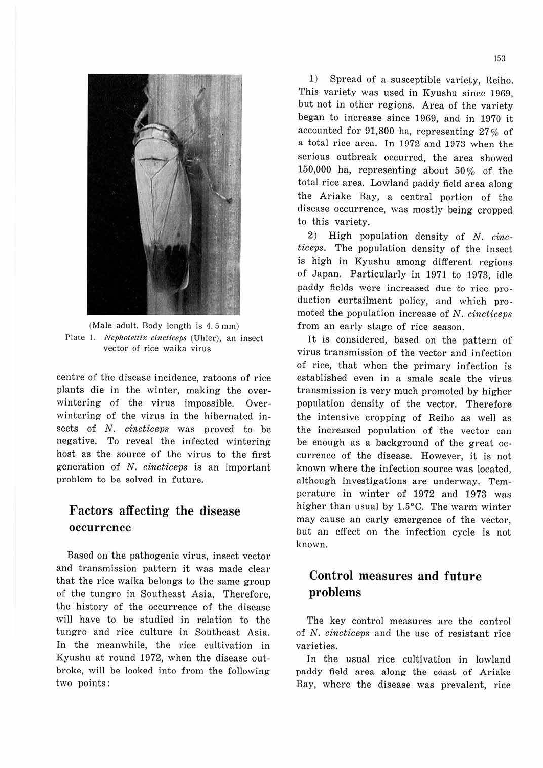

(Male adult. Body length is 4. 5 mm) Plate 1. *Nephotettix cincticeps* (Uhler), an insect vector of rice waika virus

centre of the disease incidence, ratoons of rice plants die in the winter, making the overwintering of the virus impossible. Overwintering of the virus in the hibernated insects of N. *cincticeps* was proved to be negative. To reveal the infected wintering host as the source of the virus to the first generation of N. *cincticeps* is an important problem to be solved in future.

### **Factors affecting the disease occm-rence**

Based on the pathogenic virus, insect vector and transmission pattern it was made clear that the rice waika belongs to the same group of the tungro in Southeast Asia. Therefore, the history of the occurrence of the disease will have to be studied in relation to the tungro and rice culture in Southeast Asia. In the meanwhile, the rice cultivation in Kyushu at round 1972, when the disease outbroke, will be looked into from the following two points:

1) Spread of a susceptible variety, Reiho. This variety was used in Kyushu since 1969, but not in other regions. Area of the variety began to increase since 1969, and in 1970 it accounted for 91,800 ha, representing 27% of a total rice area. In 1972 and 1973 when the serious outbreak occurred, the area showed 150,000 ha, representing about 50 % of the total rice area. Lowland paddy field area along the Ariake Bay, a central portion of the disease occurrence, was mostly being cropped to this variety.

2) High population density of N. *cincticeps.* The population density of the insect is high in Kyushu among different regions of Japan. Particularly in 1971 to 1973, idle paddy fields were increased due to rice production curtailment policy, and which promoted the population increase of N. *cincticeps* from an early stage of rice season.

It is considered, based on the pattern of virus transmission of the vector and infection of rice, that when the primary infection is established even in a smale scale the virus transmission is very much promoted by higher population density of the vector. Therefore the intensive cropping of Reiho as well as the increased population of the vector can be enough as a background of the great occurrence of the disease. However, it is not known where the infection source was located, although investigations are underway. Temperature in winter of 1972 and 1973 was higher than usual by l.5°C. The warm winter may cause an early emergence of the vector, but an effect on the infection cycle is not known.

## **Control measures and future problems**

The key control measures are the control of N. *cincticeps* and the use of resistant rice varieties.

In the usual rice cultivation in lowland paddy field area along the coast of Ariake Bay, where the disease was prevalent, rice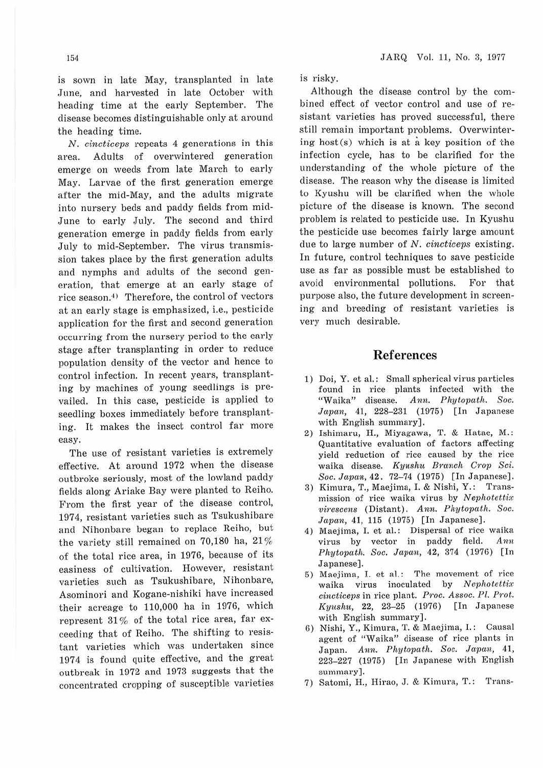is sown in late May, transplanted in late June, and harvested in late October with heading time at the early September. The disease becomes distinguishable only at around the heading time.

N. *cincticeps* repeats 4 generations in this area. Adults of overwintered generation emerge on weeds from late March to early May. Larvae of the first generation emerge after the mid-May, and the adults migrate into nursery beds and paddy fields from mid-June to early July. The second and third generation emerge in paddy fields from early July to mid-September. The virus transmission takes place by the first generation adults and nymphs and adults of the second generation, that emerge at an early stage of rice season.<sup>4)</sup> Therefore, the control of vectors at an early stage is emphasized, i.e., pesticide application for the first and second generation occurring from the nursery period to the early stage after transplanting in order to reduce population density of the vector and hence to control infection. In recent years, transplanting by machines of young seedlings is prevailed. In this case, pesticide is applied to seedling boxes immediately before transplanting. It makes the insect control far more easy.

The use of resistant varieties is extremely effective. At around 1972 when the disease outbroke seriously, most of the lowland paddy fields along Ariake Bay were planted to Reiho. From the first year of the disease control, 1974, resistant varieties such as Tsukushibare and Nihonbare began to replace Reiho, but the variety still remained on 70,180 ha, 21 % of the total rice area, in 1976, because of its easiness of cultivation. However, resistant varieties such as Tsukushibare, Nihonbare, Asominori and Kogane-nishiki have increased their acreage to 110,000 ha in 1976, which represent 31 % of the total rice area, far exceeding that of Reiho. The shifting to resistant varieties which was undertaken since 1974 is found quite effective, and the great outbreak in 1972 and 1973 suggests that the concentrated cropping of susceptible varieties JARQ Vol. 11, No. 3, 1977

is risky.

Although the disease control by the combined effect of vector control and use of resistant varieties has proved successful, there still remain important problems. Overwintering host $(s)$  which is at a key position of the infection cycle, has to be clarified for the understanding of the whole picture of the disease. The reason why the disease is limited to Kyushu will be clarified when the whole picture of the disease is known. The second problem is related to pesticide use. In Kyushu the pesticide use becomes fairly large amount due to large number of N. *cincticeps* existing. In future, control techniques to save pesticide use as far as possible must be established to avoid environmental pollutions. For that purpose also, the future development in screening and breeding of resistant varieties is very much desirable.

#### **Ref e1·ences**

- 1) Doi, Y. et al.: Small spherical virus particles found in rice plants infected with the "Waika" disease. Ann. Phytopath. Soc. Ann. Phytopath. Soc. Japan, 41, 228-231 (1975) [In Japanese with English summary].
- 2) Ishimaru, H., Miyagawa, T. & Hatae, M.: Quantitative evaluation of factors affecting yield reduction of rice caused by the rice waika disease. *Kyushu Branch Crop Sci. Soc. Javan,* **42.** 72-74 (1975) [In Japanese).
- 3) Kimura, T., Maejima, I. & Nishi, Y.: Transmission of rice waika virus by *Nephotcttix vircsccns* (Distant). *Ann. Phytopath. Soc. .Japan,* **41,** 115 (1975) [In Japanese).
- 4) Maejima, I. et al.: Dispersal of rice waika virus by vector in paddy field. *Ann Phyto7,ath. Soc. Javan,* 42, 374 (1976) (In Japanese).
- 5) Maejima, I. et al.: The movement of rice waika virus inoculated by *Nephotettix cincticeps* in rice plant. *Proc. Assoc. Pl. Prot. Kyushu,* 22, 23-25 (1976) [In Japanese with English sunnnary).
- 6) Nishi, Y., Kimura, T. & Maejima, I. : Causal agent of "Waika" disease of rice plants in Japan. Ann. Phytopath. Soc. Japan, 41, 223-227 (1975) [In Japanese with English summary].
- 7) Satomi, H., Hirao, J. & Kimura, T.: Trans-